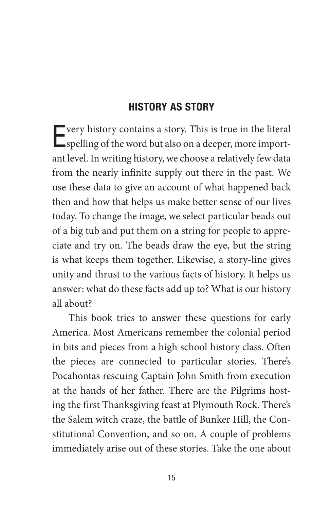# **HISTORY AS STORY**

E very history contains a story. This is true in the literal spelling of the word but also on a deeper, more important level. In writing history, we choose a relatively few data from the nearly infinite supply out there in the past. We use these data to give an account of what happened back then and how that helps us make better sense of our lives today. To change the image, we select particular beads out of a big tub and put them on a string for people to appreciate and try on. The beads draw the eye, but the string is what keeps them together. Likewise, a story-line gives unity and thrust to the various facts of history. It helps us answer: what do these facts add up to? What is our history all about?

This book tries to answer these questions for early America. Most Americans remember the colonial period in bits and pieces from a high school history class. Often the pieces are connected to particular stories. There's Pocahontas rescuing Captain John Smith from execution at the hands of her father. There are the Pilgrims hosting the first Thanksgiving feast at Plymouth Rock. There's the Salem witch craze, the battle of Bunker Hill, the Constitutional Convention, and so on. A couple of problems immediately arise out of these stories. Take the one about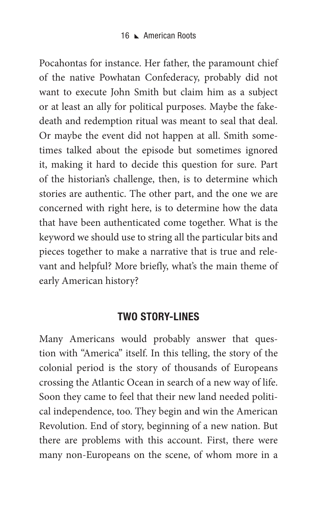Pocahontas for instance. Her father, the paramount chief of the native Powhatan Confederacy, probably did not want to execute John Smith but claim him as a subject or at least an ally for political purposes. Maybe the fakedeath and redemption ritual was meant to seal that deal. Or maybe the event did not happen at all. Smith sometimes talked about the episode but sometimes ignored it, making it hard to decide this question for sure. Part of the historian's challenge, then, is to determine which stories are authentic. The other part, and the one we are concerned with right here, is to determine how the data that have been authenticated come together. What is the keyword we should use to string all the particular bits and pieces together to make a narrative that is true and relevant and helpful? More briefly, what's the main theme of early American history?

#### **TWO STORY-LINES**

Many Americans would probably answer that question with "America" itself. In this telling, the story of the colonial period is the story of thousands of Europeans crossing the Atlantic Ocean in search of a new way of life. Soon they came to feel that their new land needed political independence, too. They begin and win the American Revolution. End of story, beginning of a new nation. But there are problems with this account. First, there were many non-Europeans on the scene, of whom more in a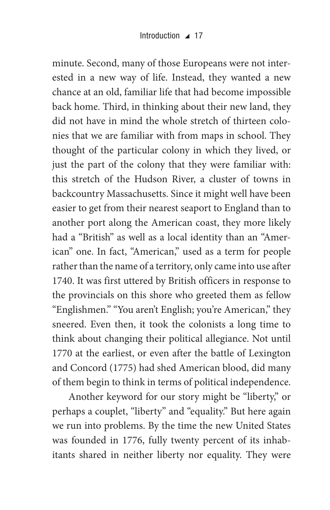minute. Second, many of those Europeans were not interested in a new way of life. Instead, they wanted a new chance at an old, familiar life that had become impossible back home. Third, in thinking about their new land, they did not have in mind the whole stretch of thirteen colonies that we are familiar with from maps in school. They thought of the particular colony in which they lived, or just the part of the colony that they were familiar with: this stretch of the Hudson River, a cluster of towns in backcountry Massachusetts. Since it might well have been easier to get from their nearest seaport to England than to another port along the American coast, they more likely had a "British" as well as a local identity than an "American" one. In fact, "American," used as a term for people rather than the name of a territory, only came into use after 1740. It was first uttered by British officers in response to the provincials on this shore who greeted them as fellow "Englishmen." "You aren't English; you're American," they sneered. Even then, it took the colonists a long time to think about changing their political allegiance. Not until 1770 at the earliest, or even after the battle of Lexington and Concord (1775) had shed American blood, did many of them begin to think in terms of political independence.

Another keyword for our story might be "liberty," or perhaps a couplet, "liberty" and "equality." But here again we run into problems. By the time the new United States was founded in 1776, fully twenty percent of its inhabitants shared in neither liberty nor equality. They were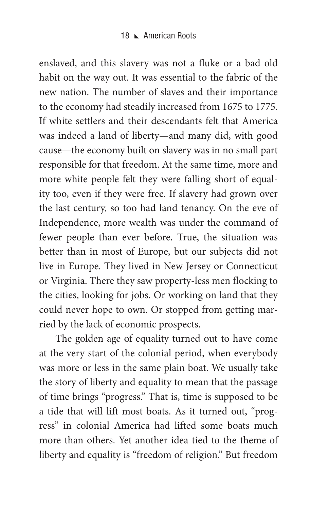enslaved, and this slavery was not a fluke or a bad old habit on the way out. It was essential to the fabric of the new nation. The number of slaves and their importance to the economy had steadily increased from 1675 to 1775. If white settlers and their descendants felt that America was indeed a land of liberty—and many did, with good cause—the economy built on slavery was in no small part responsible for that freedom. At the same time, more and more white people felt they were falling short of equality too, even if they were free. If slavery had grown over the last century, so too had land tenancy. On the eve of Independence, more wealth was under the command of fewer people than ever before. True, the situation was better than in most of Europe, but our subjects did not live in Europe. They lived in New Jersey or Connecticut or Virginia. There they saw property-less men flocking to the cities, looking for jobs. Or working on land that they could never hope to own. Or stopped from getting married by the lack of economic prospects.

The golden age of equality turned out to have come at the very start of the colonial period, when everybody was more or less in the same plain boat. We usually take the story of liberty and equality to mean that the passage of time brings "progress." That is, time is supposed to be a tide that will lift most boats. As it turned out, "progress" in colonial America had lifted some boats much more than others. Yet another idea tied to the theme of liberty and equality is "freedom of religion." But freedom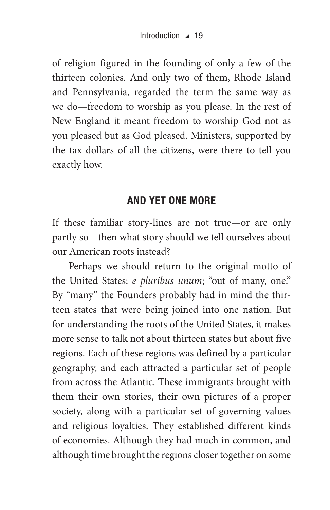of religion figured in the founding of only a few of the thirteen colonies. And only two of them, Rhode Island and Pennsylvania, regarded the term the same way as we do—freedom to worship as you please. In the rest of New England it meant freedom to worship God not as you pleased but as God pleased. Ministers, supported by the tax dollars of all the citizens, were there to tell you exactly how.

## **AND YET ONE MORE**

If these familiar story-lines are not true—or are only partly so—then what story should we tell ourselves about our American roots instead?

Perhaps we should return to the original motto of the United States: *e pluribus unum*; "out of many, one." By "many" the Founders probably had in mind the thirteen states that were being joined into one nation. But for understanding the roots of the United States, it makes more sense to talk not about thirteen states but about five regions. Each of these regions was defined by a particular geography, and each attracted a particular set of people from across the Atlantic. These immigrants brought with them their own stories, their own pictures of a proper society, along with a particular set of governing values and religious loyalties. They established different kinds of economies. Although they had much in common, and although time brought the regions closer together on some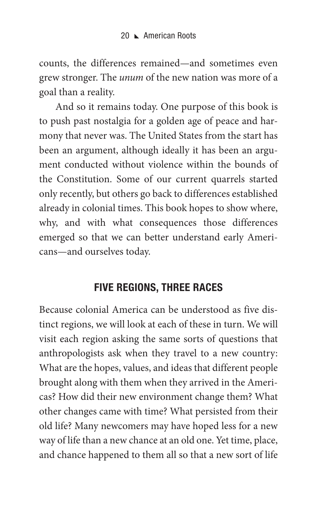counts, the differences remained—and sometimes even grew stronger. The *unum* of the new nation was more of a goal than a reality.

And so it remains today. One purpose of this book is to push past nostalgia for a golden age of peace and harmony that never was. The United States from the start has been an argument, although ideally it has been an argument conducted without violence within the bounds of the Constitution. Some of our current quarrels started only recently, but others go back to differences established already in colonial times. This book hopes to show where, why, and with what consequences those differences emerged so that we can better understand early Americans—and ourselves today.

## **FIVE REGIONS, THREE RACES**

Because colonial America can be understood as five distinct regions, we will look at each of these in turn. We will visit each region asking the same sorts of questions that anthropologists ask when they travel to a new country: What are the hopes, values, and ideas that different people brought along with them when they arrived in the Americas? How did their new environment change them? What other changes came with time? What persisted from their old life? Many newcomers may have hoped less for a new way of life than a new chance at an old one. Yet time, place, and chance happened to them all so that a new sort of life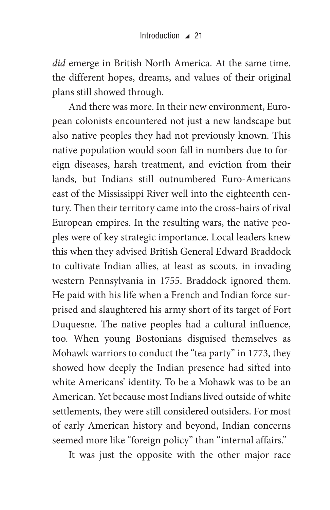*did* emerge in British North America. At the same time, the different hopes, dreams, and values of their original plans still showed through.

And there was more. In their new environment, European colonists encountered not just a new landscape but also native peoples they had not previously known. This native population would soon fall in numbers due to foreign diseases, harsh treatment, and eviction from their lands, but Indians still outnumbered Euro-Americans east of the Mississippi River well into the eighteenth century. Then their territory came into the cross-hairs of rival European empires. In the resulting wars, the native peoples were of key strategic importance. Local leaders knew this when they advised British General Edward Braddock to cultivate Indian allies, at least as scouts, in invading western Pennsylvania in 1755. Braddock ignored them. He paid with his life when a French and Indian force surprised and slaughtered his army short of its target of Fort Duquesne. The native peoples had a cultural influence, too. When young Bostonians disguised themselves as Mohawk warriors to conduct the "tea party" in 1773, they showed how deeply the Indian presence had sifted into white Americans' identity. To be a Mohawk was to be an American. Yet because most Indians lived outside of white settlements, they were still considered outsiders. For most of early American history and beyond, Indian concerns seemed more like "foreign policy" than "internal affairs."

It was just the opposite with the other major race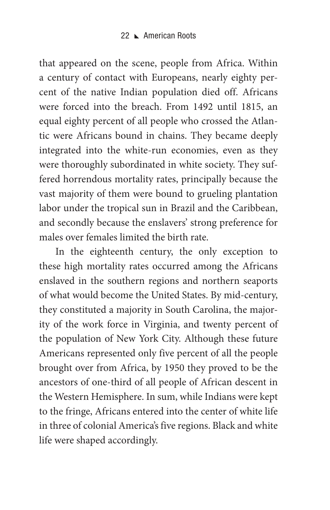that appeared on the scene, people from Africa. Within a century of contact with Europeans, nearly eighty percent of the native Indian population died off. Africans were forced into the breach. From 1492 until 1815, an equal eighty percent of all people who crossed the Atlantic were Africans bound in chains. They became deeply integrated into the white-run economies, even as they were thoroughly subordinated in white society. They suffered horrendous mortality rates, principally because the vast majority of them were bound to grueling plantation labor under the tropical sun in Brazil and the Caribbean, and secondly because the enslavers' strong preference for males over females limited the birth rate.

In the eighteenth century, the only exception to these high mortality rates occurred among the Africans enslaved in the southern regions and northern seaports of what would become the United States. By mid-century, they constituted a majority in South Carolina, the majority of the work force in Virginia, and twenty percent of the population of New York City. Although these future Americans represented only five percent of all the people brought over from Africa, by 1950 they proved to be the ancestors of one-third of all people of African descent in the Western Hemisphere. In sum, while Indians were kept to the fringe, Africans entered into the center of white life in three of colonial America's five regions. Black and white life were shaped accordingly.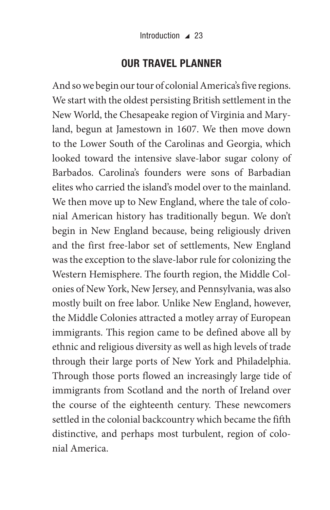#### **OUR TRAVEL PLANNER**

And so we begin our tour of colonial America's five regions. We start with the oldest persisting British settlement in the New World, the Chesapeake region of Virginia and Maryland, begun at Jamestown in 1607. We then move down to the Lower South of the Carolinas and Georgia, which looked toward the intensive slave-labor sugar colony of Barbados. Carolina's founders were sons of Barbadian elites who carried the island's model over to the mainland. We then move up to New England, where the tale of colonial American history has traditionally begun. We don't begin in New England because, being religiously driven and the first free-labor set of settlements, New England was the exception to the slave-labor rule for colonizing the Western Hemisphere. The fourth region, the Middle Colonies of New York, New Jersey, and Pennsylvania, was also mostly built on free labor. Unlike New England, however, the Middle Colonies attracted a motley array of European immigrants. This region came to be defined above all by ethnic and religious diversity as well as high levels of trade through their large ports of New York and Philadelphia. Through those ports flowed an increasingly large tide of immigrants from Scotland and the north of Ireland over the course of the eighteenth century. These newcomers settled in the colonial backcountry which became the fifth distinctive, and perhaps most turbulent, region of colonial America.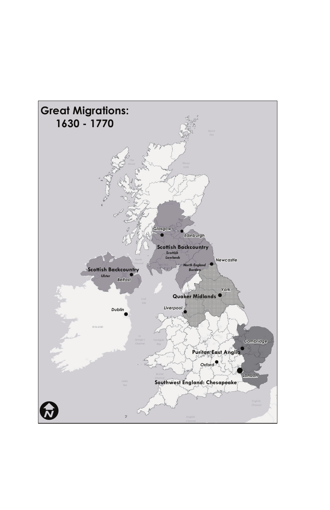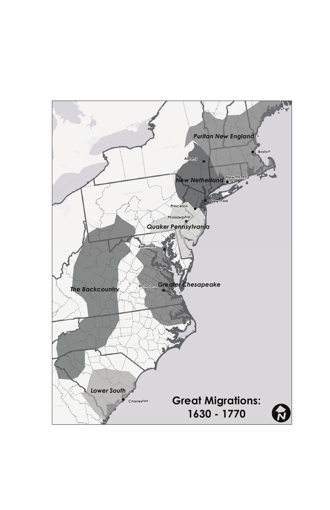